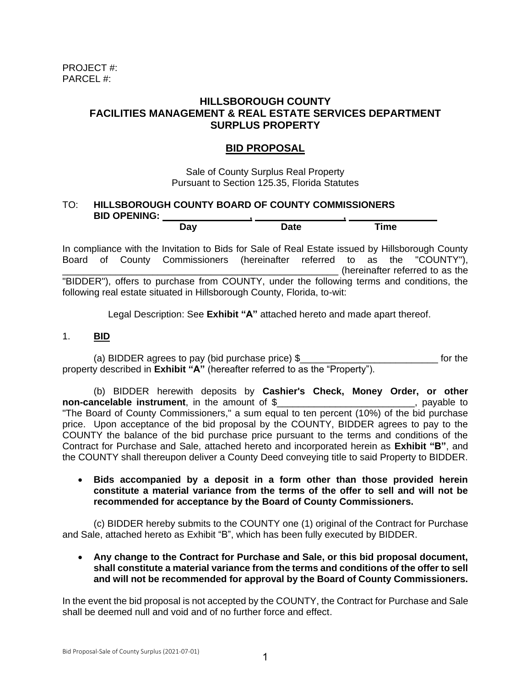## **HILLSBOROUGH COUNTY FACILITIES MANAGEMENT & REAL ESTATE SERVICES DEPARTMENT SURPLUS PROPERTY**

# **BID PROPOSAL**

Sale of County Surplus Real Property Pursuant to Section 125.35, Florida Statutes

## TO: **HILLSBOROUGH COUNTY BOARD OF COUNTY COMMISSIONERS BID OPENING: , ,**

| - 1937<br>יי<br><b>Duy</b> | $\bm{\mathsf{Date}}$ | <b>Time</b> |  |
|----------------------------|----------------------|-------------|--|
|                            |                      |             |  |

In compliance with the Invitation to Bids for Sale of Real Estate issued by Hillsborough County Board of County Commissioners (hereinafter referred to as the "COUNTY"), \_\_\_\_\_\_\_\_\_\_\_\_\_\_\_\_\_\_\_\_\_\_\_\_\_\_\_\_\_\_\_\_\_\_\_\_\_\_\_\_\_\_\_\_\_\_\_\_\_\_\_\_ (hereinafter referred to as the "BIDDER"), offers to purchase from COUNTY, under the following terms and conditions, the following real estate situated in Hillsborough County, Florida, to-wit:

Legal Description: See **Exhibit "A"** attached hereto and made apart thereof.

### 1. **BID**

(a) BIDDER agrees to pay (bid purchase price) \$\_\_\_\_\_\_\_\_\_\_\_\_\_\_\_\_\_\_\_\_\_\_\_\_\_\_ for the property described in **Exhibit "A"** (hereafter referred to as the "Property").

(b) BIDDER herewith deposits by **Cashier's Check, Money Order, or other non-cancelable instrument**, in the amount of \$\_\_\_\_\_\_\_\_\_\_\_\_\_\_\_\_\_\_\_\_\_\_\_\_\_\_, payable to "The Board of County Commissioners," a sum equal to ten percent (10%) of the bid purchase price. Upon acceptance of the bid proposal by the COUNTY, BIDDER agrees to pay to the COUNTY the balance of the bid purchase price pursuant to the terms and conditions of the Contract for Purchase and Sale, attached hereto and incorporated herein as **Exhibit "B"**, and the COUNTY shall thereupon deliver a County Deed conveying title to said Property to BIDDER.

#### • **Bids accompanied by a deposit in a form other than those provided herein constitute a material variance from the terms of the offer to sell and will not be recommended for acceptance by the Board of County Commissioners.**

(c) BIDDER hereby submits to the COUNTY one (1) original of the Contract for Purchase and Sale, attached hereto as Exhibit "B", which has been fully executed by BIDDER.

• **Any change to the Contract for Purchase and Sale, or this bid proposal document, shall constitute a material variance from the terms and conditions of the offer to sell and will not be recommended for approval by the Board of County Commissioners.** 

In the event the bid proposal is not accepted by the COUNTY, the Contract for Purchase and Sale shall be deemed null and void and of no further force and effect.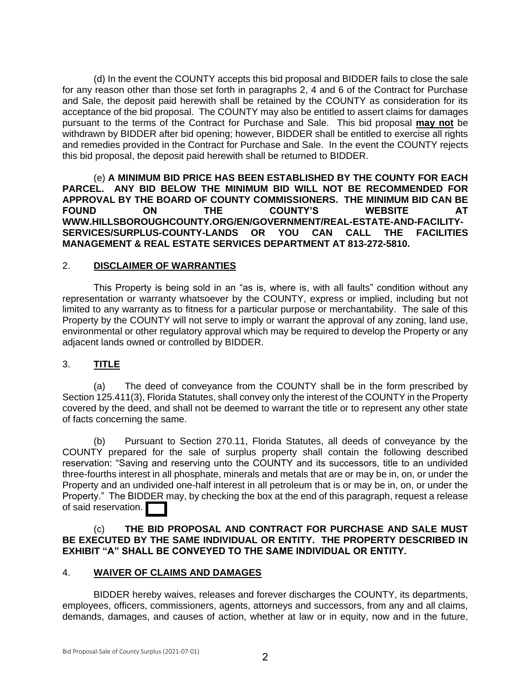(d) In the event the COUNTY accepts this bid proposal and BIDDER fails to close the sale for any reason other than those set forth in paragraphs 2, 4 and 6 of the Contract for Purchase and Sale, the deposit paid herewith shall be retained by the COUNTY as consideration for its acceptance of the bid proposal. The COUNTY may also be entitled to assert claims for damages pursuant to the terms of the Contract for Purchase and Sale. This bid proposal **may not** be withdrawn by BIDDER after bid opening; however, BIDDER shall be entitled to exercise all rights and remedies provided in the Contract for Purchase and Sale. In the event the COUNTY rejects this bid proposal, the deposit paid herewith shall be returned to BIDDER.

(e) **A MINIMUM BID PRICE HAS BEEN ESTABLISHED BY THE COUNTY FOR EACH PARCEL. ANY BID BELOW THE MINIMUM BID WILL NOT BE RECOMMENDED FOR APPROVAL BY THE BOARD OF COUNTY COMMISSIONERS. THE MINIMUM BID CAN BE FOUND ON THE COUNTY'S WEBSITE AT WWW.HILLSBOROUGHCOUNTY.ORG/EN/GOVERNMENT/REAL-ESTATE-AND-FACILITY-SERVICES/SURPLUS-COUNTY-LANDS OR YOU CAN CALL THE FACILITIES MANAGEMENT & REAL ESTATE SERVICES DEPARTMENT AT 813-272-5810.**

### 2. **DISCLAIMER OF WARRANTIES**

This Property is being sold in an "as is, where is, with all faults" condition without any representation or warranty whatsoever by the COUNTY, express or implied, including but not limited to any warranty as to fitness for a particular purpose or merchantability. The sale of this Property by the COUNTY will not serve to imply or warrant the approval of any zoning, land use, environmental or other regulatory approval which may be required to develop the Property or any adjacent lands owned or controlled by BIDDER.

## 3. **TITLE**

(a) The deed of conveyance from the COUNTY shall be in the form prescribed by Section 125.411(3), Florida Statutes, shall convey only the interest of the COUNTY in the Property covered by the deed, and shall not be deemed to warrant the title or to represent any other state of facts concerning the same.

(b) Pursuant to Section 270.11, Florida Statutes, all deeds of conveyance by the COUNTY prepared for the sale of surplus property shall contain the following described reservation: "Saving and reserving unto the COUNTY and its successors, title to an undivided three-fourths interest in all phosphate, minerals and metals that are or may be in, on, or under the Property and an undivided one-half interest in all petroleum that is or may be in, on, or under the Property." The BIDDER may, by checking the box at the end of this paragraph, request a release of said reservation.

(c) **THE BID PROPOSAL AND CONTRACT FOR PURCHASE AND SALE MUST BE EXECUTED BY THE SAME INDIVIDUAL OR ENTITY. THE PROPERTY DESCRIBED IN EXHIBIT "A" SHALL BE CONVEYED TO THE SAME INDIVIDUAL OR ENTITY.**

#### 4. **WAIVER OF CLAIMS AND DAMAGES**

BIDDER hereby waives, releases and forever discharges the COUNTY, its departments, employees, officers, commissioners, agents, attorneys and successors, from any and all claims, demands, damages, and causes of action, whether at law or in equity, now and in the future,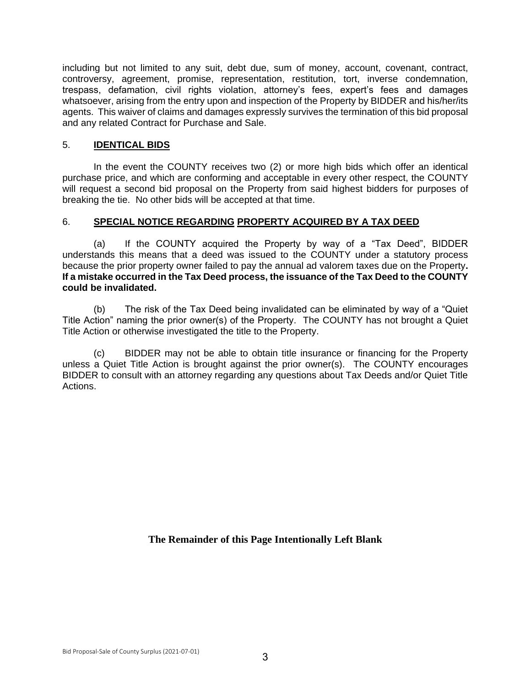including but not limited to any suit, debt due, sum of money, account, covenant, contract, controversy, agreement, promise, representation, restitution, tort, inverse condemnation, trespass, defamation, civil rights violation, attorney's fees, expert's fees and damages whatsoever, arising from the entry upon and inspection of the Property by BIDDER and his/her/its agents. This waiver of claims and damages expressly survives the termination of this bid proposal and any related Contract for Purchase and Sale.

### 5. **IDENTICAL BIDS**

In the event the COUNTY receives two (2) or more high bids which offer an identical purchase price, and which are conforming and acceptable in every other respect, the COUNTY will request a second bid proposal on the Property from said highest bidders for purposes of breaking the tie. No other bids will be accepted at that time.

## 6. **SPECIAL NOTICE REGARDING PROPERTY ACQUIRED BY A TAX DEED**

(a) If the COUNTY acquired the Property by way of a "Tax Deed", BIDDER understands this means that a deed was issued to the COUNTY under a statutory process because the prior property owner failed to pay the annual ad valorem taxes due on the Property**. If a mistake occurred in the Tax Deed process, the issuance of the Tax Deed to the COUNTY could be invalidated.** 

(b) The risk of the Tax Deed being invalidated can be eliminated by way of a "Quiet Title Action" naming the prior owner(s) of the Property. The COUNTY has not brought a Quiet Title Action or otherwise investigated the title to the Property.

(c) BIDDER may not be able to obtain title insurance or financing for the Property unless a Quiet Title Action is brought against the prior owner(s). The COUNTY encourages BIDDER to consult with an attorney regarding any questions about Tax Deeds and/or Quiet Title Actions.

**The Remainder of this Page Intentionally Left Blank**